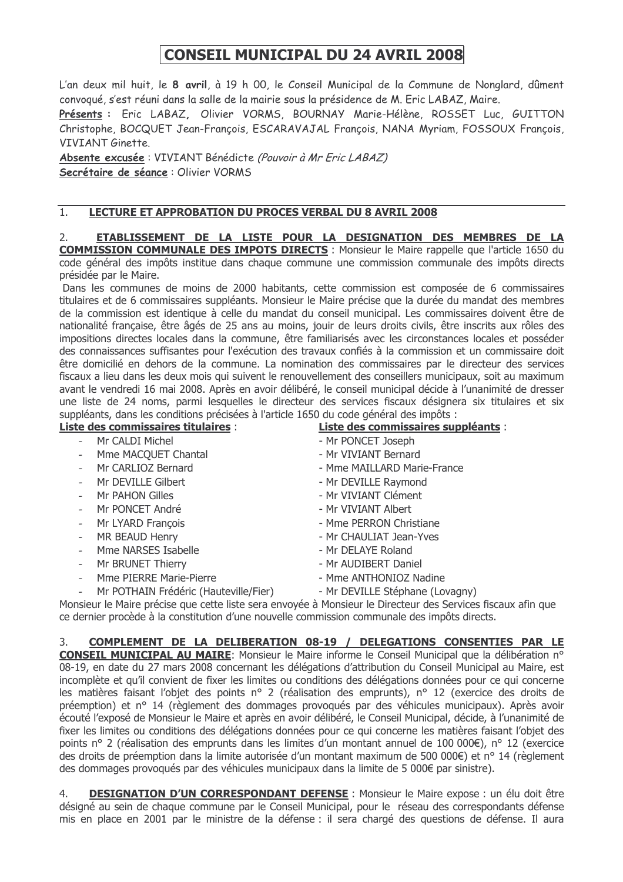## **CONSEIL MUNICIPAL DU 24 AVRIL 2008**

L'an deux mil huit, le 8 avril, à 19 h 00, le Conseil Municipal de la Commune de Nonglard, dûment convogué, s'est réuni dans la salle de la mairie sous la présidence de M. Eric LABAZ, Maire,

Présents : Eric LABAZ, Olivier VORMS, BOURNAY Marie-Hélène, ROSSET Luc, GUITTON Christophe, BOCQUET Jean-François, ESCARAVAJAL François, NANA Myriam, FOSSOUX François, VIVIANT Ginette.

Absente excusée : VIVIANT Bénédicte (Pouvoir à Mr Eric LABAZ) Secrétaire de séance : Olivier VORMS

## $1.$ LECTURE ET APPROBATION DU PROCES VERBAL DU 8 AVRIL 2008

ETABLISSEMENT DE LA LISTE POUR LA DESIGNATION DES MEMBRES DE LA  $2<sub>1</sub>$ **COMMISSION COMMUNALE DES IMPOTS DIRECTS** : Monsieur le Maire rappelle que l'article 1650 du code général des impôts institue dans chaque commune une commission communale des impôts directs présidée par le Maire.

Dans les communes de moins de 2000 habitants, cette commission est composée de 6 commissaires titulaires et de 6 commissaires suppléants. Monsieur le Maire précise que la durée du mandat des membres de la commission est identique à celle du mandat du conseil municipal. Les commissaires doivent être de nationalité francaise, être âgés de 25 ans au moins, jouir de leurs droits civils, être inscrits aux rôles des impositions directes locales dans la commune, être familiarisés avec les circonstances locales et posséder des connaissances suffisantes pour l'exécution des travaux confiés à la commission et un commissaire doit être domicilié en dehors de la commune. La nomination des commissaires par le directeur des services fiscaux a lieu dans les deux mois qui suivent le renouvellement des conseillers municipaux, soit au maximum avant le vendredi 16 mai 2008. Après en avoir délibéré, le conseil municipal décide à l'unanimité de dresser une liste de 24 noms, parmi lesquelles le directeur des services fiscaux désignera six titulaires et six suppléants, dans les conditions précisées à l'article 1650 du code général des impôts :

Liste des commissaires titulaires :

- Mr CALDI Michel
- $\mathcal{L}^{\text{max}}$ Mme MACOUET Chantal
- Mr CARLIOZ Bernard
- Mr DEVILLE Gilbert
- Mr PAHON Gilles
- Mr PONCET André  $\mathbf{r}$
- Mr LYARD Francois
- MR BEAUD Henry
- Mme NARSES Isabelle
- Mr BRUNET Thierry
- Mme PIERRE Marie-Pierre
- Mr POTHAIN Frédéric (Hauteville/Fier)
- Liste des commissaires suppléants :
- Mr PONCET Joseph
- Mr VIVIANT Bernard
- Mme MAILLARD Marie-France
- Mr DEVILLE Ravmond
- Mr VIVIANT Clément
- Mr VIVIANT Albert
- Mme PERRON Christiane
- Mr CHAULIAT Jean-Yves
- Mr DELAYE Roland
- Mr AUDIBERT Daniel
- Mme ANTHONIOZ Nadine
- Mr DEVILLE Stéphane (Lovagny)

Monsieur le Maire précise que cette liste sera envoyée à Monsieur le Directeur des Services fiscaux afin que ce dernier procède à la constitution d'une nouvelle commission communale des impôts directs.

 $\mathcal{S}$ COMPLEMENT DE LA DELIBERATION 08-19 / DELEGATIONS CONSENTIES PAR LE CONSEIL MUNICIPAL AU MAIRE: Monsieur le Maire informe le Conseil Municipal que la délibération n° 08-19, en date du 27 mars 2008 concernant les délégations d'attribution du Conseil Municipal au Maire, est incomplète et qu'il convient de fixer les limites ou conditions des délégations données pour ce qui concerne les matières faisant l'objet des points nº 2 (réalisation des emprunts), nº 12 (exercice des droits de préemption) et n° 14 (règlement des dommages provogués par des véhicules municipaux). Après avoir écouté l'exposé de Monsieur le Maire et après en avoir délibéré, le Conseil Municipal, décide, à l'unanimité de fixer les limites ou conditions des délégations données pour ce qui concerne les matières faisant l'objet des points nº 2 (réalisation des emprunts dans les limites d'un montant annuel de 100 000€), nº 12 (exercice des droits de préemption dans la limite autorisée d'un montant maximum de 500 000€) et n° 14 (règlement des dommages provoqués par des véhicules municipaux dans la limite de 5 000€ par sinistre).

**DESIGNATION D'UN CORRESPONDANT DEFENSE :** Monsieur le Maire expose : un élu doit être 4. désigné au sein de chaque commune par le Conseil Municipal, pour le réseau des correspondants défense mis en place en 2001 par le ministre de la défense : il sera chargé des questions de défense. Il aura